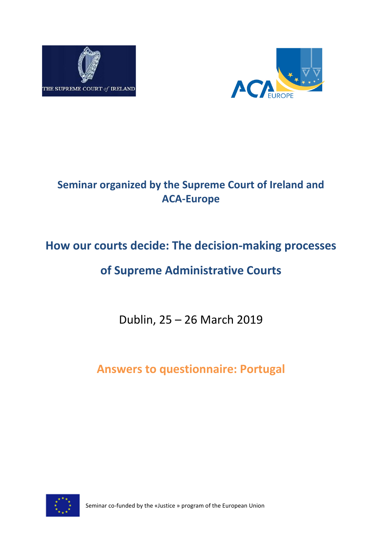



## **Seminar organized by the Supreme Court of Ireland and ACA-Europe**

# **How our courts decide: The decision-making processes**

## **of Supreme Administrative Courts**

Dublin, 25 – 26 March 2019

**Answers to questionnaire: Portugal**



Seminar co-funded by the «Justice » program of the European Union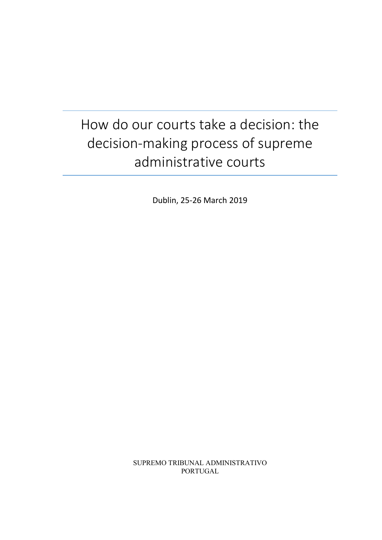# How do our courts take a decision: the decision-making process of supreme administrative courts

Dublin, 25-26 March 2019

SUPREMO TRIBUNAL ADMINISTRATIVO PORTUGAL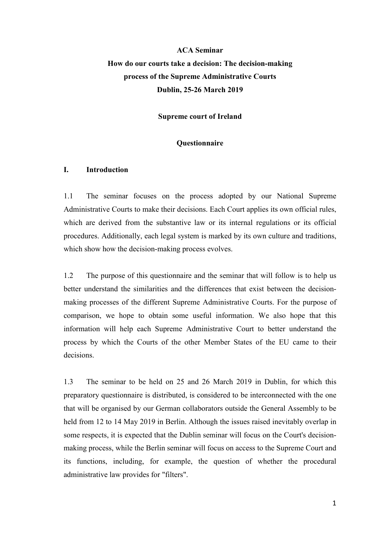## **ACA Seminar How do our courts take a decision: The decision-making process of the Supreme Administrative Courts Dublin, 25-26 March 2019**

**Supreme court of Ireland**

#### **Questionnaire**

#### **I. Introduction**

1.1 The seminar focuses on the process adopted by our National Supreme Administrative Courts to make their decisions. Each Court applies its own official rules, which are derived from the substantive law or its internal regulations or its official procedures. Additionally, each legal system is marked by its own culture and traditions, which show how the decision-making process evolves.

1.2 The purpose of this questionnaire and the seminar that will follow is to help us better understand the similarities and the differences that exist between the decisionmaking processes of the different Supreme Administrative Courts. For the purpose of comparison, we hope to obtain some useful information. We also hope that this information will help each Supreme Administrative Court to better understand the process by which the Courts of the other Member States of the EU came to their decisions.

1.3 The seminar to be held on 25 and 26 March 2019 in Dublin, for which this preparatory questionnaire is distributed, is considered to be interconnected with the one that will be organised by our German collaborators outside the General Assembly to be held from 12 to 14 May 2019 in Berlin. Although the issues raised inevitably overlap in some respects, it is expected that the Dublin seminar will focus on the Court's decisionmaking process, while the Berlin seminar will focus on access to the Supreme Court and its functions, including, for example, the question of whether the procedural administrative law provides for "filters".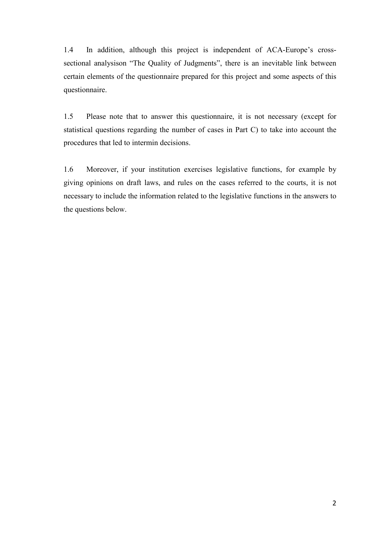1.4 In addition, although this project is independent of ACA-Europe's crosssectional analysison "The Quality of Judgments", there is an inevitable link between certain elements of the questionnaire prepared for this project and some aspects of this questionnaire.

1.5 Please note that to answer this questionnaire, it is not necessary (except for statistical questions regarding the number of cases in Part C) to take into account the procedures that led to intermin decisions.

1.6 Moreover, if your institution exercises legislative functions, for example by giving opinions on draft laws, and rules on the cases referred to the courts, it is not necessary to include the information related to the legislative functions in the answers to the questions below.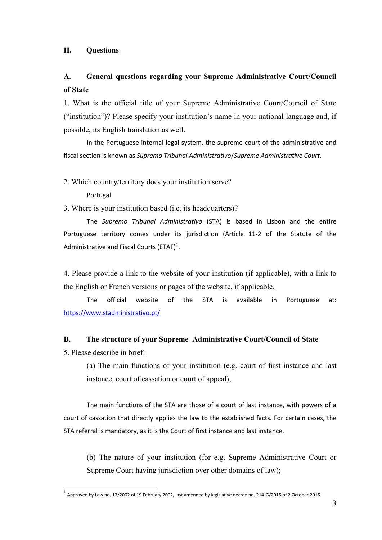#### **II. Questions**

### **A. General questions regarding your Supreme Administrative Court/Council of State**

1. What is the official title of your Supreme Administrative Court/Council of State ("institution")? Please specify your institution's name in your national language and, if possible, its English translation as well.

In the Portuguese internal legal system, the supreme court of the administrative and fiscal section is known as *Supremo Tribunal Administrativo*/*Supreme Administrative Court.*

2. Which country/territory does your institution serve?

Portugal.

3. Where is your institution based (i.e. its headquarters)?

The *Supremo Tribunal Administrativo* (STA) is based in Lisbon and the entire Portuguese territory comes under its jurisdiction (Article 11-2 of the Statute of the Administrative and Fiscal Courts (ETAF)<sup>[1](#page-4-0)</sup>.

4. Please provide a link to the website of your institution (if applicable), with a link to the English or French versions or pages of the website, if applicable.

The official website of the STA is available in Portuguese at: [https://www.stadministrativo.pt/.](https://www.stadministrativo.pt/)

#### **B. The structure of your Supreme Administrative Court/Council of State**

5. Please describe in brief:

(a) The main functions of your institution (e.g. court of first instance and last instance, court of cassation or court of appeal);

The main functions of the STA are those of a court of last instance, with powers of a court of cassation that directly applies the law to the established facts. For certain cases, the STA referral is mandatory, as it is the Court of first instance and last instance.

(b) The nature of your institution (for e.g. Supreme Administrative Court or Supreme Court having jurisdiction over other domains of law);

<span id="page-4-0"></span> $^1$  Approved by Law no. 13/2002 of 19 February 2002, last amended by legislative decree no. 214-G/2015 of 2 October 2015.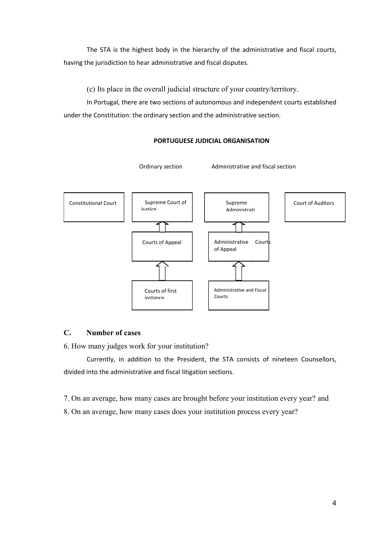The STA is the highest body in the hierarchy of the administrative and fiscal courts, having the jurisdiction to hear administrative and fiscal disputes.

(c) Its place in the overall judicial structure of your country/territory.

In Portugal, there are two sections of autonomous and independent courts established under the Constitution: the ordinary section and the administrative section.



#### **PORTUGUESE JUDICIAL ORGANISATION**

#### **C. Number of cases**

6. How many judges work for your institution?

Currently, in addition to the President, the STA consists of nineteen Counsellors, divided into the administrative and fiscal litigation sections.

7. On an average, how many cases are brought before your institution every year? and

8. On an average, how many cases does your institution process every year?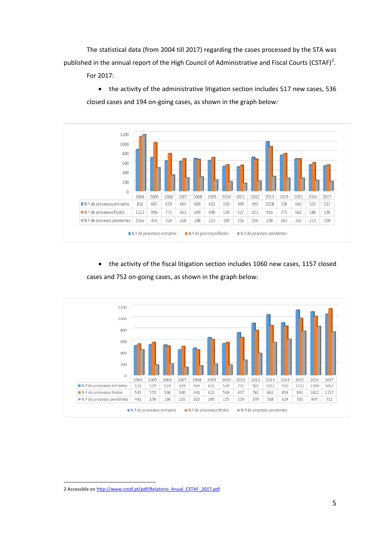The statistical data (from 2004 till 2017) regarding the cases processed by the STA was published in the annual report of the High Council of Administrative and Fiscal Courts (CSTAF)<sup>[2](#page-6-0)</sup>.

For 2017:

• the activity of the administrative litigation section includes 517 new cases, 536 closed cases and 194 on-going cases, as shown in the graph below:



• the activity of the fiscal litigation section includes 1060 new cases, 1157 closed cases and 752 on-going cases, as shown in the graph below:



<span id="page-6-0"></span> <sup>2</sup> Accessible o[n http://www.cstaf.pt/pdf/Relatorio\\_Anual\\_CSTAF\\_2017.pdf](http://www.cstaf.pt/pdf/Relatorio_Anual_CSTAF_2017.pdf)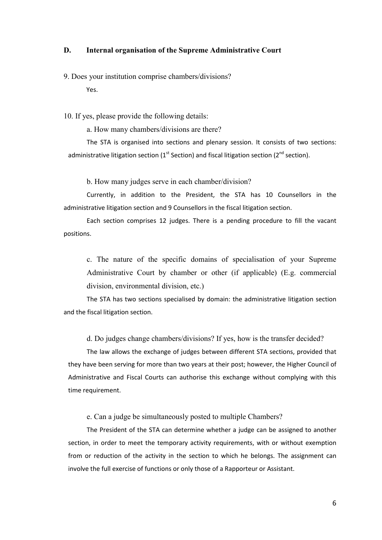#### **D. Internal organisation of the Supreme Administrative Court**

9. Does your institution comprise chambers/divisions?

Yes.

10. If yes, please provide the following details:

a. How many chambers/divisions are there?

The STA is organised into sections and plenary session. It consists of two sections: administrative litigation section ( $1<sup>st</sup>$  Section) and fiscal litigation section ( $2<sup>nd</sup>$  section).

b. How many judges serve in each chamber/division?

Currently, in addition to the President, the STA has 10 Counsellors in the administrative litigation section and 9 Counsellors in the fiscal litigation section.

Each section comprises 12 judges. There is a pending procedure to fill the vacant positions.

c. The nature of the specific domains of specialisation of your Supreme Administrative Court by chamber or other (if applicable) (E.g. commercial division, environmental division, etc.)

The STA has two sections specialised by domain: the administrative litigation section and the fiscal litigation section.

d. Do judges change chambers/divisions? If yes, how is the transfer decided?

The law allows the exchange of judges between different STA sections, provided that they have been serving for more than two years at their post; however, the Higher Council of Administrative and Fiscal Courts can authorise this exchange without complying with this time requirement.

e. Can a judge be simultaneously posted to multiple Chambers?

The President of the STA can determine whether a judge can be assigned to another section, in order to meet the temporary activity requirements, with or without exemption from or reduction of the activity in the section to which he belongs. The assignment can involve the full exercise of functions or only those of a Rapporteur or Assistant.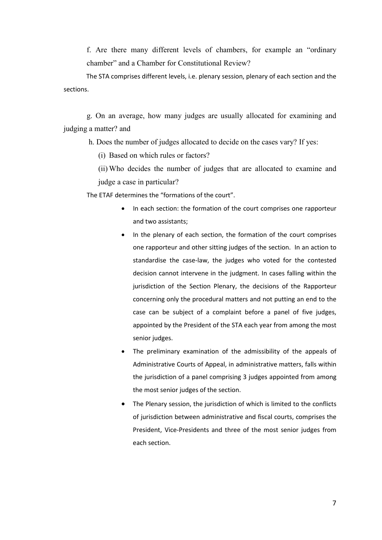f. Are there many different levels of chambers, for example an "ordinary chamber" and a Chamber for Constitutional Review?

The STA comprises different levels, i.e. plenary session, plenary of each section and the sections.

g. On an average, how many judges are usually allocated for examining and judging a matter? and

h. Does the number of judges allocated to decide on the cases vary? If yes:

(i) Based on which rules or factors?

(ii) Who decides the number of judges that are allocated to examine and judge a case in particular?

The ETAF determines the "formations of the court".

- In each section: the formation of the court comprises one rapporteur and two assistants;
- In the plenary of each section, the formation of the court comprises one rapporteur and other sitting judges of the section. In an action to standardise the case-law, the judges who voted for the contested decision cannot intervene in the judgment. In cases falling within the jurisdiction of the Section Plenary, the decisions of the Rapporteur concerning only the procedural matters and not putting an end to the case can be subject of a complaint before a panel of five judges, appointed by the President of the STA each year from among the most senior judges.
- The preliminary examination of the admissibility of the appeals of Administrative Courts of Appeal, in administrative matters, falls within the jurisdiction of a panel comprising 3 judges appointed from among the most senior judges of the section.
- The Plenary session, the jurisdiction of which is limited to the conflicts of jurisdiction between administrative and fiscal courts, comprises the President, Vice-Presidents and three of the most senior judges from each section.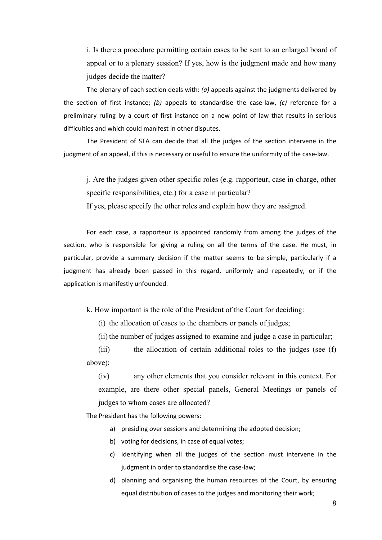i. Is there a procedure permitting certain cases to be sent to an enlarged board of appeal or to a plenary session? If yes, how is the judgment made and how many judges decide the matter?

The plenary of each section deals with: *(a)* appeals against the judgments delivered by the section of first instance; *(b)* appeals to standardise the case-law, *(c)* reference for a preliminary ruling by a court of first instance on a new point of law that results in serious difficulties and which could manifest in other disputes.

The President of STA can decide that all the judges of the section intervene in the judgment of an appeal, if this is necessary or useful to ensure the uniformity of the case-law.

j. Are the judges given other specific roles (e.g. rapporteur, case in-charge, other specific responsibilities, etc.) for a case in particular?

If yes, please specify the other roles and explain how they are assigned.

For each case, a rapporteur is appointed randomly from among the judges of the section, who is responsible for giving a ruling on all the terms of the case. He must, in particular, provide a summary decision if the matter seems to be simple, particularly if a judgment has already been passed in this regard, uniformly and repeatedly, or if the application is manifestly unfounded.

k. How important is the role of the President of the Court for deciding:

(i) the allocation of cases to the chambers or panels of judges;

(ii) the number of judges assigned to examine and judge a case in particular;

(iii) the allocation of certain additional roles to the judges (see (f) above);

(iv) any other elements that you consider relevant in this context. For example, are there other special panels, General Meetings or panels of judges to whom cases are allocated?

The President has the following powers:

- a) presiding over sessions and determining the adopted decision;
- b) voting for decisions, in case of equal votes;
- c) identifying when all the judges of the section must intervene in the judgment in order to standardise the case-law;
- d) planning and organising the human resources of the Court, by ensuring equal distribution of cases to the judges and monitoring their work;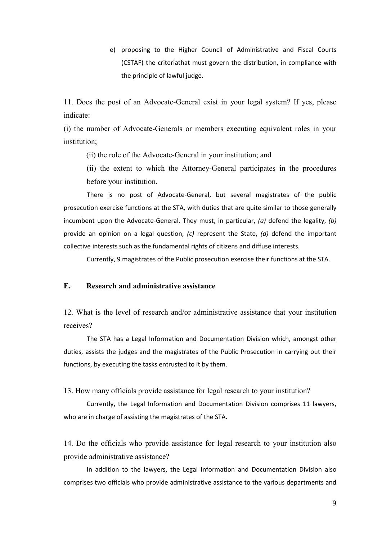e) proposing to the Higher Council of Administrative and Fiscal Courts (CSTAF) the criteriathat must govern the distribution, in compliance with the principle of lawful judge.

11. Does the post of an Advocate-General exist in your legal system? If yes, please indicate:

(i) the number of Advocate-Generals or members executing equivalent roles in your institution;

(ii) the role of the Advocate-General in your institution; and

(ii) the extent to which the Attorney-General participates in the procedures before your institution.

There is no post of Advocate-General, but several magistrates of the public prosecution exercise functions at the STA, with duties that are quite similar to those generally incumbent upon the Advocate-General. They must, in particular, *(a)* defend the legality, *(b)* provide an opinion on a legal question, *(c)* represent the State, *(d)* defend the important collective interests such as the fundamental rights of citizens and diffuse interests.

Currently, 9 magistrates of the Public prosecution exercise their functions at the STA.

#### **E. Research and administrative assistance**

12. What is the level of research and/or administrative assistance that your institution receives?

The STA has a Legal Information and Documentation Division which, amongst other duties, assists the judges and the magistrates of the Public Prosecution in carrying out their functions, by executing the tasks entrusted to it by them.

13. How many officials provide assistance for legal research to your institution?

Currently, the Legal Information and Documentation Division comprises 11 lawyers, who are in charge of assisting the magistrates of the STA.

14. Do the officials who provide assistance for legal research to your institution also provide administrative assistance?

In addition to the lawyers, the Legal Information and Documentation Division also comprises two officials who provide administrative assistance to the various departments and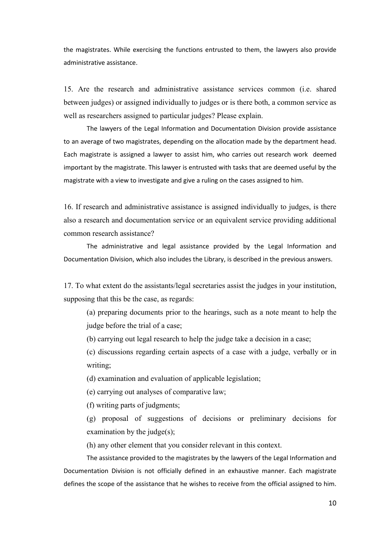the magistrates. While exercising the functions entrusted to them, the lawyers also provide administrative assistance.

15. Are the research and administrative assistance services common (i.e. shared between judges) or assigned individually to judges or is there both, a common service as well as researchers assigned to particular judges? Please explain.

The lawyers of the Legal Information and Documentation Division provide assistance to an average of two magistrates, depending on the allocation made by the department head. Each magistrate is assigned a lawyer to assist him, who carries out research work deemed important by the magistrate. This lawyer is entrusted with tasks that are deemed useful by the magistrate with a view to investigate and give a ruling on the cases assigned to him.

16. If research and administrative assistance is assigned individually to judges, is there also a research and documentation service or an equivalent service providing additional common research assistance?

The administrative and legal assistance provided by the Legal Information and Documentation Division, which also includes the Library, is described in the previous answers.

17. To what extent do the assistants/legal secretaries assist the judges in your institution, supposing that this be the case, as regards:

(a) preparing documents prior to the hearings, such as a note meant to help the judge before the trial of a case;

(b) carrying out legal research to help the judge take a decision in a case;

(c) discussions regarding certain aspects of a case with a judge, verbally or in writing;

(d) examination and evaluation of applicable legislation;

(e) carrying out analyses of comparative law;

(f) writing parts of judgments;

(g) proposal of suggestions of decisions or preliminary decisions for examination by the judge(s);

(h) any other element that you consider relevant in this context.

The assistance provided to the magistrates by the lawyers of the Legal Information and Documentation Division is not officially defined in an exhaustive manner. Each magistrate defines the scope of the assistance that he wishes to receive from the official assigned to him.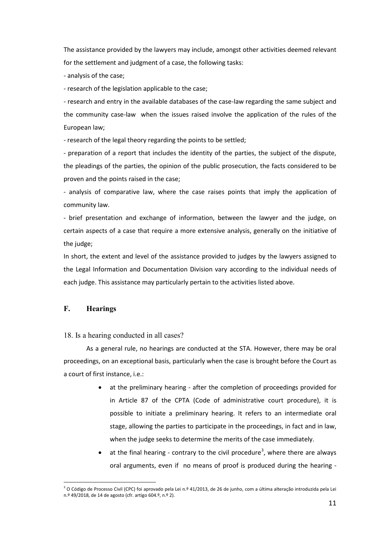The assistance provided by the lawyers may include, amongst other activities deemed relevant for the settlement and judgment of a case, the following tasks:

- analysis of the case;

- research of the legislation applicable to the case;

- research and entry in the available databases of the case-law regarding the same subject and the community case-law when the issues raised involve the application of the rules of the European law;

- research of the legal theory regarding the points to be settled;

- preparation of a report that includes the identity of the parties, the subject of the dispute, the pleadings of the parties, the opinion of the public prosecution, the facts considered to be proven and the points raised in the case;

- analysis of comparative law, where the case raises points that imply the application of community law.

- brief presentation and exchange of information, between the lawyer and the judge, on certain aspects of a case that require a more extensive analysis, generally on the initiative of the judge:

In short, the extent and level of the assistance provided to judges by the lawyers assigned to the Legal Information and Documentation Division vary according to the individual needs of each judge. This assistance may particularly pertain to the activities listed above.

#### **F. Hearings**

#### 18. Is a hearing conducted in all cases?

As a general rule, no hearings are conducted at the STA. However, there may be oral proceedings, on an exceptional basis, particularly when the case is brought before the Court as a court of first instance, i.e.:

- at the preliminary hearing after the completion of proceedings provided for in Article 87 of the CPTA (Code of administrative court procedure), it is possible to initiate a preliminary hearing. It refers to an intermediate oral stage, allowing the parties to participate in the proceedings, in fact and in law, when the judge seeks to determine the merits of the case immediately.
- $\bullet$  at the final hearing contrary to the civil procedure<sup>[3](#page-12-0)</sup>, where there are always oral arguments, even if no means of proof is produced during the hearing -

<span id="page-12-0"></span><sup>&</sup>lt;sup>3</sup> O Código de Processo Civil (CPC) foi aprovado pela Lei n.º 41/2013, de 26 de junho, com a última alteração introduzida pela Lei n.º 49/2018, de 14 de agosto (cfr. artigo 604.º, n.º 2).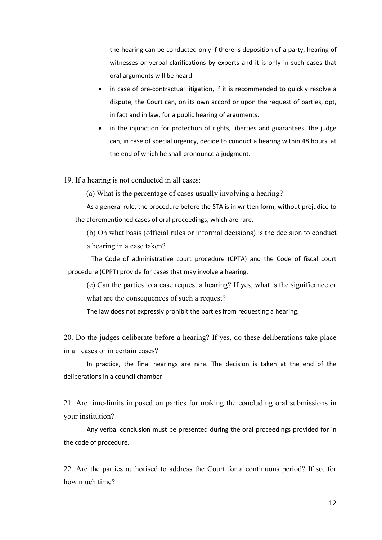the hearing can be conducted only if there is deposition of a party, hearing of witnesses or verbal clarifications by experts and it is only in such cases that oral arguments will be heard.

• in case of pre-contractual litigation, if it is recommended to quickly resolve a dispute, the Court can, on its own accord or upon the request of parties, opt, in fact and in law, for a public hearing of arguments.

• in the injunction for protection of rights, liberties and guarantees, the judge can, in case of special urgency, decide to conduct a hearing within 48 hours, at the end of which he shall pronounce a judgment.

19. If a hearing is not conducted in all cases:

(a) What is the percentage of cases usually involving a hearing?

As a general rule, the procedure before the STA is in written form, without prejudice to the aforementioned cases of oral proceedings, which are rare.

(b) On what basis (official rules or informal decisions) is the decision to conduct a hearing in a case taken?

The Code of administrative court procedure (CPTA) and the Code of fiscal court procedure (CPPT) provide for cases that may involve a hearing.

(c) Can the parties to a case request a hearing? If yes, what is the significance or what are the consequences of such a request?

The law does not expressly prohibit the parties from requesting a hearing.

20. Do the judges deliberate before a hearing? If yes, do these deliberations take place in all cases or in certain cases?

In practice, the final hearings are rare. The decision is taken at the end of the deliberations in a council chamber.

21. Are time-limits imposed on parties for making the concluding oral submissions in your institution?

Any verbal conclusion must be presented during the oral proceedings provided for in the code of procedure.

22. Are the parties authorised to address the Court for a continuous period? If so, for how much time?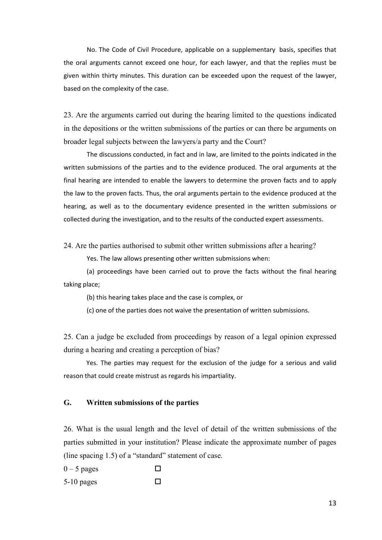No. The Code of Civil Procedure, applicable on a supplementary basis, specifies that the oral arguments cannot exceed one hour, for each lawyer, and that the replies must be given within thirty minutes. This duration can be exceeded upon the request of the lawyer, based on the complexity of the case.

23. Are the arguments carried out during the hearing limited to the questions indicated in the depositions or the written submissions of the parties or can there be arguments on broader legal subjects between the lawyers/a party and the Court?

The discussions conducted, in fact and in law, are limited to the points indicated in the written submissions of the parties and to the evidence produced. The oral arguments at the final hearing are intended to enable the lawyers to determine the proven facts and to apply the law to the proven facts. Thus, the oral arguments pertain to the evidence produced at the hearing, as well as to the documentary evidence presented in the written submissions or collected during the investigation, and to the results of the conducted expert assessments.

24. Are the parties authorised to submit other written submissions after a hearing?

Yes. The law allows presenting other written submissions when:

(a) proceedings have been carried out to prove the facts without the final hearing taking place;

(b) this hearing takes place and the case is complex, or

(c) one of the parties does not waive the presentation of written submissions.

25. Can a judge be excluded from proceedings by reason of a legal opinion expressed during a hearing and creating a perception of bias?

Yes. The parties may request for the exclusion of the judge for a serious and valid reason that could create mistrust as regards his impartiality.

#### **G. Written submissions of the parties**

26. What is the usual length and the level of detail of the written submissions of the parties submitted in your institution? Please indicate the approximate number of pages (line spacing 1.5) of a "standard" statement of case.

 $0 - 5$  pages  $\Box$  $5-10$  pages  $\square$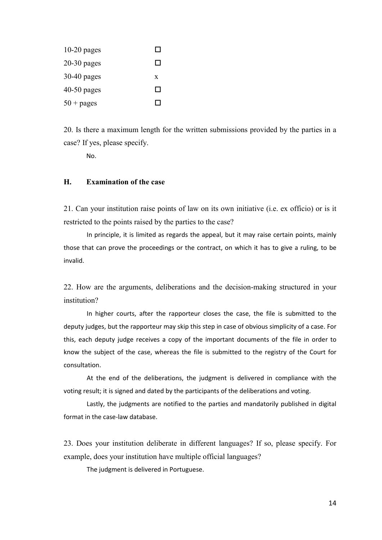| $10-20$ pages       | $\overline{\phantom{a}}$ |
|---------------------|--------------------------|
| $20-30$ pages       | ΙI                       |
| $30-40$ pages       | X                        |
| 40-50 pages         | $\mathsf{L}$             |
| $50 + \text{pages}$ | I.                       |

20. Is there a maximum length for the written submissions provided by the parties in a case? If yes, please specify.

No.

#### **H. Examination of the case**

21. Can your institution raise points of law on its own initiative (i.e. ex officio) or is it restricted to the points raised by the parties to the case?

In principle, it is limited as regards the appeal, but it may raise certain points, mainly those that can prove the proceedings or the contract, on which it has to give a ruling, to be invalid.

22. How are the arguments, deliberations and the decision-making structured in your institution?

In higher courts, after the rapporteur closes the case, the file is submitted to the deputy judges, but the rapporteur may skip this step in case of obvious simplicity of a case. For this, each deputy judge receives a copy of the important documents of the file in order to know the subject of the case, whereas the file is submitted to the registry of the Court for consultation.

At the end of the deliberations, the judgment is delivered in compliance with the voting result; it is signed and dated by the participants of the deliberations and voting.

Lastly, the judgments are notified to the parties and mandatorily published in digital format in the case-law database.

23. Does your institution deliberate in different languages? If so, please specify. For example, does your institution have multiple official languages?

The judgment is delivered in Portuguese.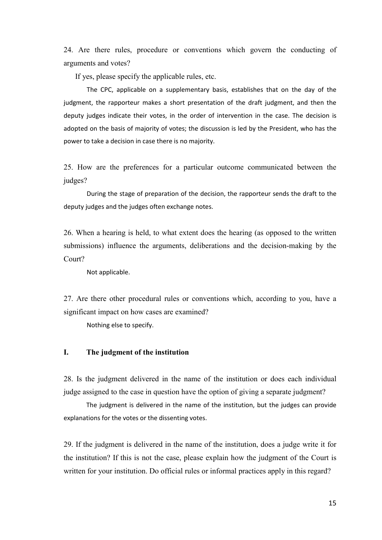24. Are there rules, procedure or conventions which govern the conducting of arguments and votes?

If yes, please specify the applicable rules, etc.

The CPC, applicable on a supplementary basis, establishes that on the day of the judgment, the rapporteur makes a short presentation of the draft judgment, and then the deputy judges indicate their votes, in the order of intervention in the case. The decision is adopted on the basis of majority of votes; the discussion is led by the President, who has the power to take a decision in case there is no majority.

25. How are the preferences for a particular outcome communicated between the judges?

During the stage of preparation of the decision, the rapporteur sends the draft to the deputy judges and the judges often exchange notes.

26. When a hearing is held, to what extent does the hearing (as opposed to the written submissions) influence the arguments, deliberations and the decision-making by the Court?

Not applicable.

27. Are there other procedural rules or conventions which, according to you, have a significant impact on how cases are examined?

Nothing else to specify.

#### **I. The judgment of the institution**

28. Is the judgment delivered in the name of the institution or does each individual judge assigned to the case in question have the option of giving a separate judgment?

The judgment is delivered in the name of the institution, but the judges can provide explanations for the votes or the dissenting votes.

29. If the judgment is delivered in the name of the institution, does a judge write it for the institution? If this is not the case, please explain how the judgment of the Court is written for your institution. Do official rules or informal practices apply in this regard?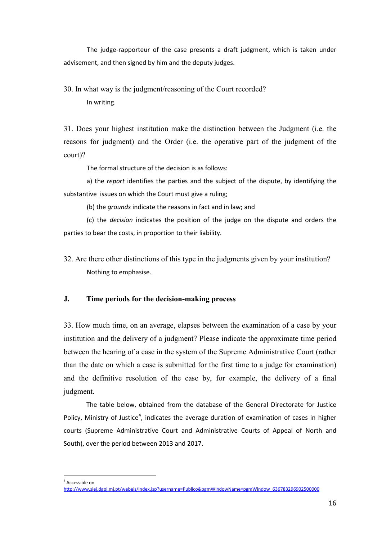The judge-rapporteur of the case presents a draft judgment, which is taken under advisement, and then signed by him and the deputy judges.

30. In what way is the judgment/reasoning of the Court recorded? In writing.

31. Does your highest institution make the distinction between the Judgment (i.e. the reasons for judgment) and the Order (i.e. the operative part of the judgment of the court)?

The formal structure of the decision is as follows:

a) the *report* identifies the parties and the subject of the dispute, by identifying the substantive issues on which the Court must give a ruling;

(b) the *grounds* indicate the reasons in fact and in law; and

(c) the *decision* indicates the position of the judge on the dispute and orders the parties to bear the costs, in proportion to their liability.

32. Are there other distinctions of this type in the judgments given by your institution? Nothing to emphasise.

#### **J. Time periods for the decision-making process**

33. How much time, on an average, elapses between the examination of a case by your institution and the delivery of a judgment? Please indicate the approximate time period between the hearing of a case in the system of the Supreme Administrative Court (rather than the date on which a case is submitted for the first time to a judge for examination) and the definitive resolution of the case by, for example, the delivery of a final judgment.

The table below, obtained from the database of the General Directorate for Justice Policy, Ministry of Justice<sup>[4](#page-17-0)</sup>, indicates the average duration of examination of cases in higher courts (Supreme Administrative Court and Administrative Courts of Appeal of North and South), over the period between 2013 and 2017.

<span id="page-17-0"></span>4 Accessible on

[http://www.siej.dgpj.mj.pt/webeis/index.jsp?username=Publico&pgmWindowName=pgmWindow\\_636783296902500000](http://www.siej.dgpj.mj.pt/webeis/index.jsp?username=Publico&amp;pgmWindowName=pgmWindow_636783296902500000)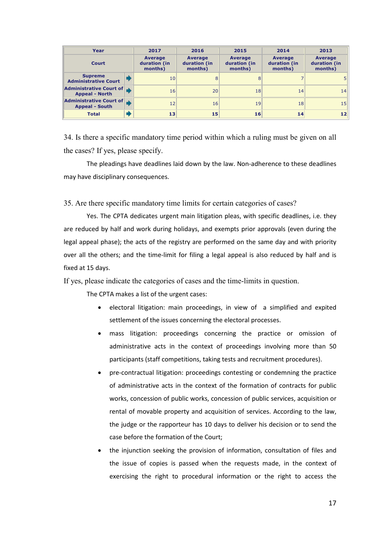| Year                                             | 2017                                      | 2016                                      | 2015                                      | 2014                                      | 2013                                      |
|--------------------------------------------------|-------------------------------------------|-------------------------------------------|-------------------------------------------|-------------------------------------------|-------------------------------------------|
| <b>Court</b>                                     | <b>Average</b><br>duration (in<br>months) | <b>Average</b><br>duration (in<br>months) | <b>Average</b><br>duration (in<br>months) | <b>Average</b><br>duration (in<br>months) | <b>Average</b><br>duration (in<br>months) |
| <b>Supreme</b><br><b>Administrative Court</b>    | 10                                        | 8                                         | 8                                         |                                           |                                           |
| Administrative Court of<br><b>Appeal - North</b> | 16                                        | 20                                        | 18                                        | 14                                        | 14                                        |
| Administrative Court of<br><b>Appeal - South</b> | 12                                        | 16                                        | 19                                        | 18                                        | 15                                        |
| <b>Total</b>                                     | 13                                        | 15                                        | 16                                        | 14                                        | $12 \overline{ }$                         |

34. Is there a specific mandatory time period within which a ruling must be given on all the cases? If yes, please specify.

The pleadings have deadlines laid down by the law. Non-adherence to these deadlines may have disciplinary consequences.

35. Are there specific mandatory time limits for certain categories of cases?

Yes. The CPTA dedicates urgent main litigation pleas, with specific deadlines, i.e. they are reduced by half and work during holidays, and exempts prior approvals (even during the legal appeal phase); the acts of the registry are performed on the same day and with priority over all the others; and the time-limit for filing a legal appeal is also reduced by half and is fixed at 15 days.

If yes, please indicate the categories of cases and the time-limits in question.

The CPTA makes a list of the urgent cases:

- electoral litigation: main proceedings, in view of a simplified and expited settlement of the issues concerning the electoral processes.
- mass litigation: proceedings concerning the practice or omission of administrative acts in the context of proceedings involving more than 50 participants (staff competitions, taking tests and recruitment procedures).
- pre-contractual litigation: proceedings contesting or condemning the practice of administrative acts in the context of the formation of contracts for public works, concession of public works, concession of public services, acquisition or rental of movable property and acquisition of services. According to the law, the judge or the rapporteur has 10 days to deliver his decision or to send the case before the formation of the Court;
- the injunction seeking the provision of information, consultation of files and the issue of copies is passed when the requests made, in the context of exercising the right to procedural information or the right to access the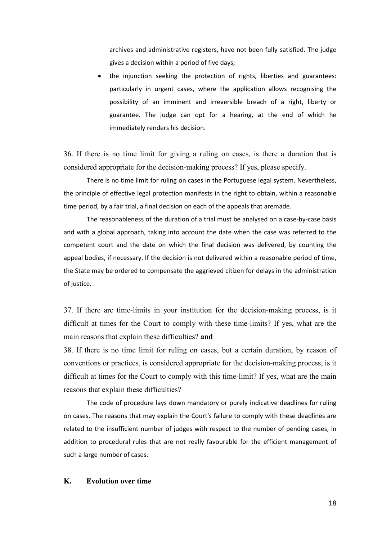archives and administrative registers, have not been fully satisfied. The judge gives a decision within a period of five days;

• the injunction seeking the protection of rights, liberties and guarantees: particularly in urgent cases, where the application allows recognising the possibility of an imminent and irreversible breach of a right, liberty or guarantee. The judge can opt for a hearing, at the end of which he immediately renders his decision.

36. If there is no time limit for giving a ruling on cases, is there a duration that is considered appropriate for the decision-making process? If yes, please specify.

There is no time limit for ruling on cases in the Portuguese legal system. Nevertheless, the principle of effective legal protection manifests in the right to obtain, within a reasonable time period, by a fair trial, a final decision on each of the appeals that aremade.

The reasonableness of the duration of a trial must be analysed on a case-by-case basis and with a global approach, taking into account the date when the case was referred to the competent court and the date on which the final decision was delivered, by counting the appeal bodies, if necessary. If the decision is not delivered within a reasonable period of time, the State may be ordered to compensate the aggrieved citizen for delays in the administration of justice.

37. If there are time-limits in your institution for the decision-making process, is it difficult at times for the Court to comply with these time-limits? If yes, what are the main reasons that explain these difficulties? **and**

38. If there is no time limit for ruling on cases, but a certain duration, by reason of conventions or practices, is considered appropriate for the decision-making process, is it difficult at times for the Court to comply with this time-limit? If yes, what are the main reasons that explain these difficulties?

The code of procedure lays down mandatory or purely indicative deadlines for ruling on cases. The reasons that may explain the Court's failure to comply with these deadlines are related to the insufficient number of judges with respect to the number of pending cases, in addition to procedural rules that are not really favourable for the efficient management of such a large number of cases.

#### **K. Evolution over time**